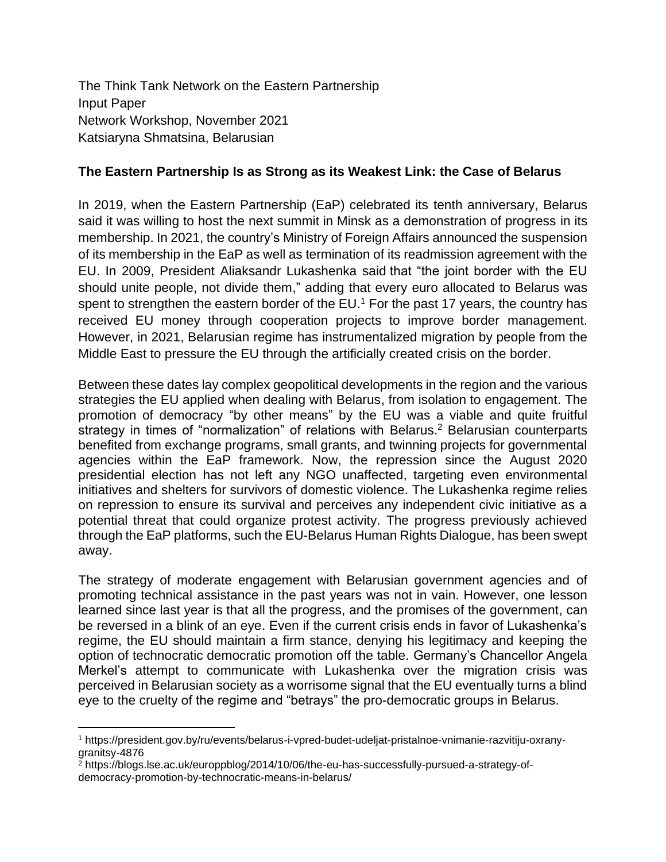The Think Tank Network on the Eastern Partnership Input Paper Network Workshop, November 2021 Katsiaryna Shmatsina, Belarusian

## **The Eastern Partnership Is as Strong as its Weakest Link: the Case of Belarus**

In 2019, when the Eastern Partnership (EaP) celebrated its tenth anniversary, Belarus said it was willing to host the next summit in Minsk as a demonstration of progress in its membership. In 2021, the country's Ministry of Foreign Affairs announced the suspension of its membership in the EaP as well as termination of its readmission agreement with the EU. In 2009, President Aliaksandr Lukashenka said that "the joint border with the EU should unite people, not divide them," adding that every euro allocated to Belarus was spent to strengthen the eastern border of the EU.<sup>1</sup> For the past 17 years, the country has received EU money through cooperation projects to improve border management. However, in 2021, Belarusian regime has instrumentalized migration by people from the Middle East to pressure the EU through the artificially created crisis on the border.

Between these dates lay complex geopolitical developments in the region and the various strategies the EU applied when dealing with Belarus, from isolation to engagement. The promotion of democracy "by other means" by the EU was a viable and quite fruitful strategy in times of "normalization" of relations with Belarus.<sup>2</sup> Belarusian counterparts benefited from exchange programs, small grants, and twinning projects for governmental agencies within the EaP framework. Now, the repression since the August 2020 presidential election has not left any NGO unaffected, targeting even environmental initiatives and shelters for survivors of domestic violence. The Lukashenka regime relies on repression to ensure its survival and perceives any independent civic initiative as a potential threat that could organize protest activity. The progress previously achieved through the EaP platforms, such the EU-Belarus Human Rights Dialogue, has been swept away.

The strategy of moderate engagement with Belarusian government agencies and of promoting technical assistance in the past years was not in vain. However, one lesson learned since last year is that all the progress, and the promises of the government, can be reversed in a blink of an eye. Even if the current crisis ends in favor of Lukashenka's regime, the EU should maintain a firm stance, denying his legitimacy and keeping the option of technocratic democratic promotion off the table. Germany's Chancellor Angela Merkel's attempt to communicate with Lukashenka over the migration crisis was perceived in Belarusian society as a worrisome signal that the EU eventually turns a blind eye to the cruelty of the regime and "betrays" the pro-democratic groups in Belarus.

<sup>1</sup> https://president.gov.by/ru/events/belarus-i-vpred-budet-udeljat-pristalnoe-vnimanie-razvitiju-oxranygranitsy-4876

<sup>2</sup> https://blogs.lse.ac.uk/europpblog/2014/10/06/the-eu-has-successfully-pursued-a-strategy-ofdemocracy-promotion-by-technocratic-means-in-belarus/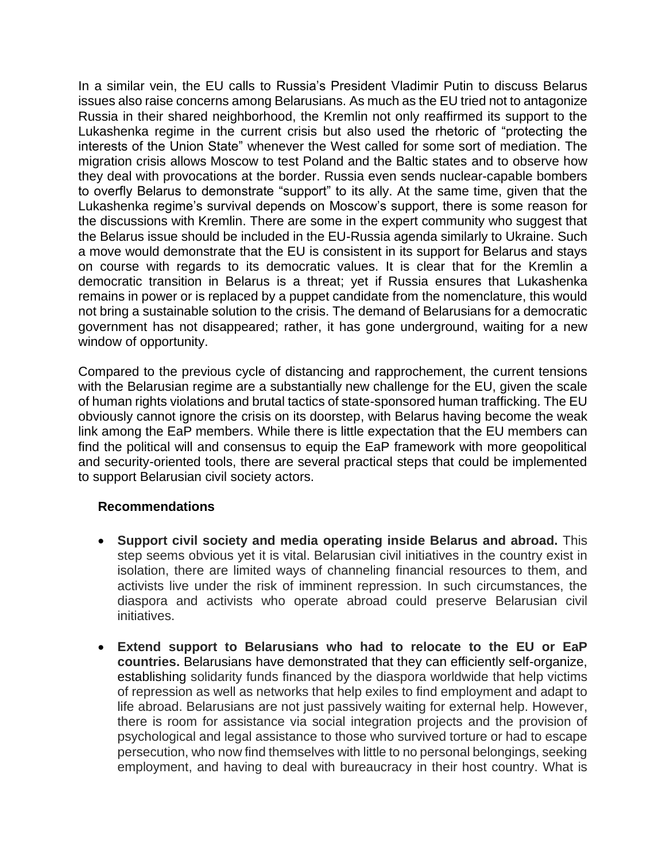In a similar vein, the EU calls to Russia's President Vladimir Putin to discuss Belarus issues also raise concerns among Belarusians. As much as the EU tried not to antagonize Russia in their shared neighborhood, the Kremlin not only reaffirmed its support to the Lukashenka regime in the current crisis but also used the rhetoric of "protecting the interests of the Union State" whenever the West called for some sort of mediation. The migration crisis allows Moscow to test Poland and the Baltic states and to observe how they deal with provocations at the border. Russia even sends nuclear-capable bombers to overfly Belarus to demonstrate "support" to its ally. At the same time, given that the Lukashenka regime's survival depends on Moscow's support, there is some reason for the discussions with Kremlin. There are some in the expert community who suggest that the Belarus issue should be included in the EU-Russia agenda similarly to Ukraine. Such a move would demonstrate that the EU is consistent in its support for Belarus and stays on course with regards to its democratic values. It is clear that for the Kremlin a democratic transition in Belarus is a threat; yet if Russia ensures that Lukashenka remains in power or is replaced by a puppet candidate from the nomenclature, this would not bring a sustainable solution to the crisis. The demand of Belarusians for a democratic government has not disappeared; rather, it has gone underground, waiting for a new window of opportunity.

Compared to the previous cycle of distancing and rapprochement, the current tensions with the Belarusian regime are a substantially new challenge for the EU, given the scale of human rights violations and brutal tactics of state-sponsored human trafficking. The EU obviously cannot ignore the crisis on its doorstep, with Belarus having become the weak link among the EaP members. While there is little expectation that the EU members can find the political will and consensus to equip the EaP framework with more geopolitical and security-oriented tools, there are several practical steps that could be implemented to support Belarusian civil society actors.

## **Recommendations**

- **Support civil society and media operating inside Belarus and abroad.** This step seems obvious yet it is vital. Belarusian civil initiatives in the country exist in isolation, there are limited ways of channeling financial resources to them, and activists live under the risk of imminent repression. In such circumstances, the diaspora and activists who operate abroad could preserve Belarusian civil initiatives.
- **Extend support to Belarusians who had to relocate to the EU or EaP countries.** Belarusians have demonstrated that they can efficiently self-organize, establishing solidarity funds financed by the diaspora worldwide that help victims of repression as well as networks that help exiles to find employment and adapt to life abroad. Belarusians are not just passively waiting for external help. However, there is room for assistance via social integration projects and the provision of psychological and legal assistance to those who survived torture or had to escape persecution, who now find themselves with little to no personal belongings, seeking employment, and having to deal with bureaucracy in their host country. What is